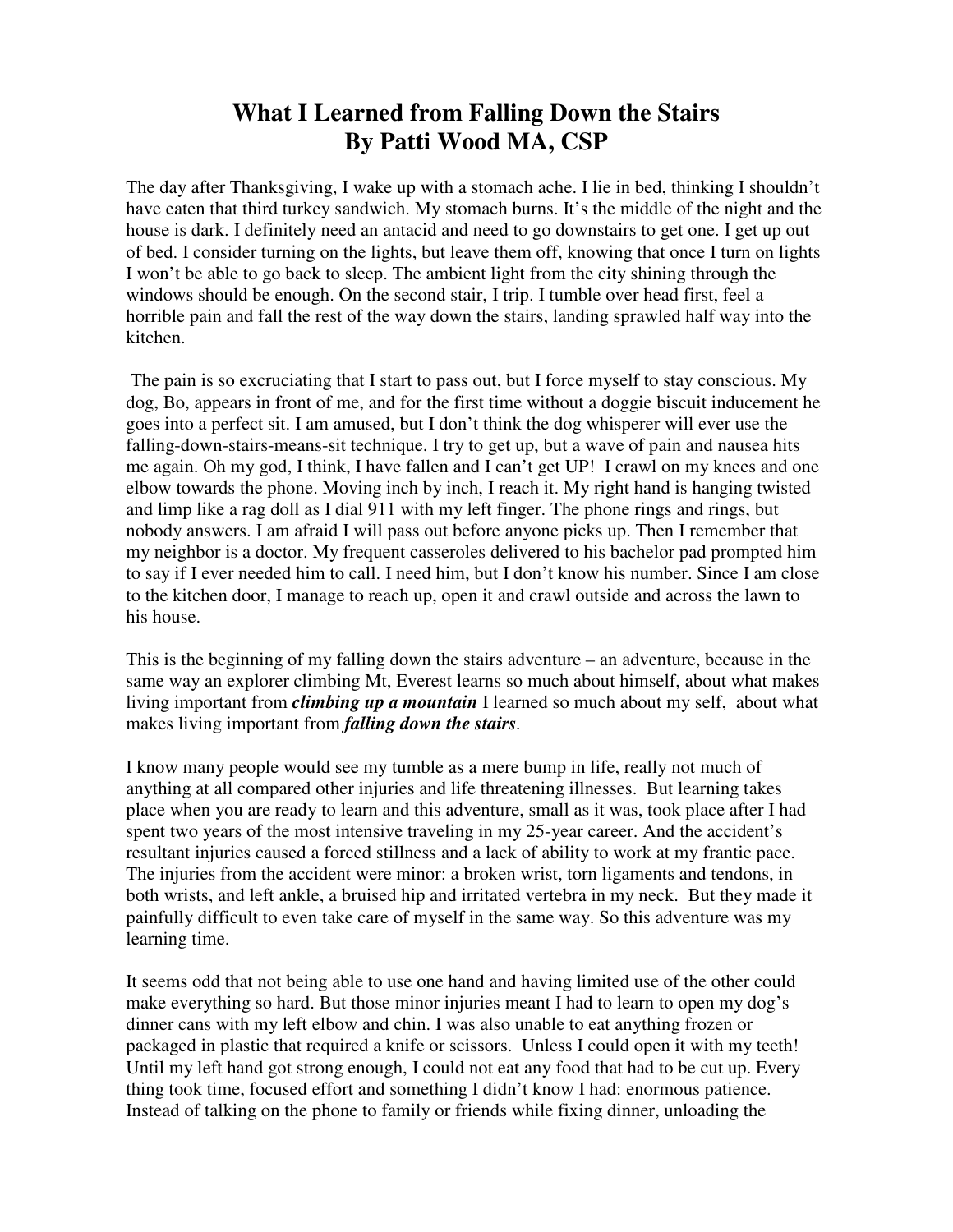# **What I Learned from Falling Down the Stairs By Patti Wood MA, CSP**

The day after Thanksgiving, I wake up with a stomach ache. I lie in bed, thinking I shouldn't have eaten that third turkey sandwich. My stomach burns. It's the middle of the night and the house is dark. I definitely need an antacid and need to go downstairs to get one. I get up out of bed. I consider turning on the lights, but leave them off, knowing that once I turn on lights I won't be able to go back to sleep. The ambient light from the city shining through the windows should be enough. On the second stair, I trip. I tumble over head first, feel a horrible pain and fall the rest of the way down the stairs, landing sprawled half way into the kitchen.

 The pain is so excruciating that I start to pass out, but I force myself to stay conscious. My dog, Bo, appears in front of me, and for the first time without a doggie biscuit inducement he goes into a perfect sit. I am amused, but I don't think the dog whisperer will ever use the falling-down-stairs-means-sit technique. I try to get up, but a wave of pain and nausea hits me again. Oh my god, I think, I have fallen and I can't get UP! I crawl on my knees and one elbow towards the phone. Moving inch by inch, I reach it. My right hand is hanging twisted and limp like a rag doll as I dial 911 with my left finger. The phone rings and rings, but nobody answers. I am afraid I will pass out before anyone picks up. Then I remember that my neighbor is a doctor. My frequent casseroles delivered to his bachelor pad prompted him to say if I ever needed him to call. I need him, but I don't know his number. Since I am close to the kitchen door, I manage to reach up, open it and crawl outside and across the lawn to his house.

This is the beginning of my falling down the stairs adventure – an adventure, because in the same way an explorer climbing Mt, Everest learns so much about himself, about what makes living important from *climbing up a mountain* I learned so much about my self, about what makes living important from *falling down the stairs.*

I know many people would see my tumble as a mere bump in life, really not much of anything at all compared other injuries and life threatening illnesses. But learning takes place when you are ready to learn and this adventure, small as it was, took place after I had spent two years of the most intensive traveling in my 25-year career. And the accident's resultant injuries caused a forced stillness and a lack of ability to work at my frantic pace. The injuries from the accident were minor: a broken wrist, torn ligaments and tendons, in both wrists, and left ankle, a bruised hip and irritated vertebra in my neck. But they made it painfully difficult to even take care of myself in the same way. So this adventure was my learning time.

It seems odd that not being able to use one hand and having limited use of the other could make everything so hard. But those minor injuries meant I had to learn to open my dog's dinner cans with my left elbow and chin. I was also unable to eat anything frozen or packaged in plastic that required a knife or scissors. Unless I could open it with my teeth! Until my left hand got strong enough, I could not eat any food that had to be cut up. Every thing took time, focused effort and something I didn't know I had: enormous patience. Instead of talking on the phone to family or friends while fixing dinner, unloading the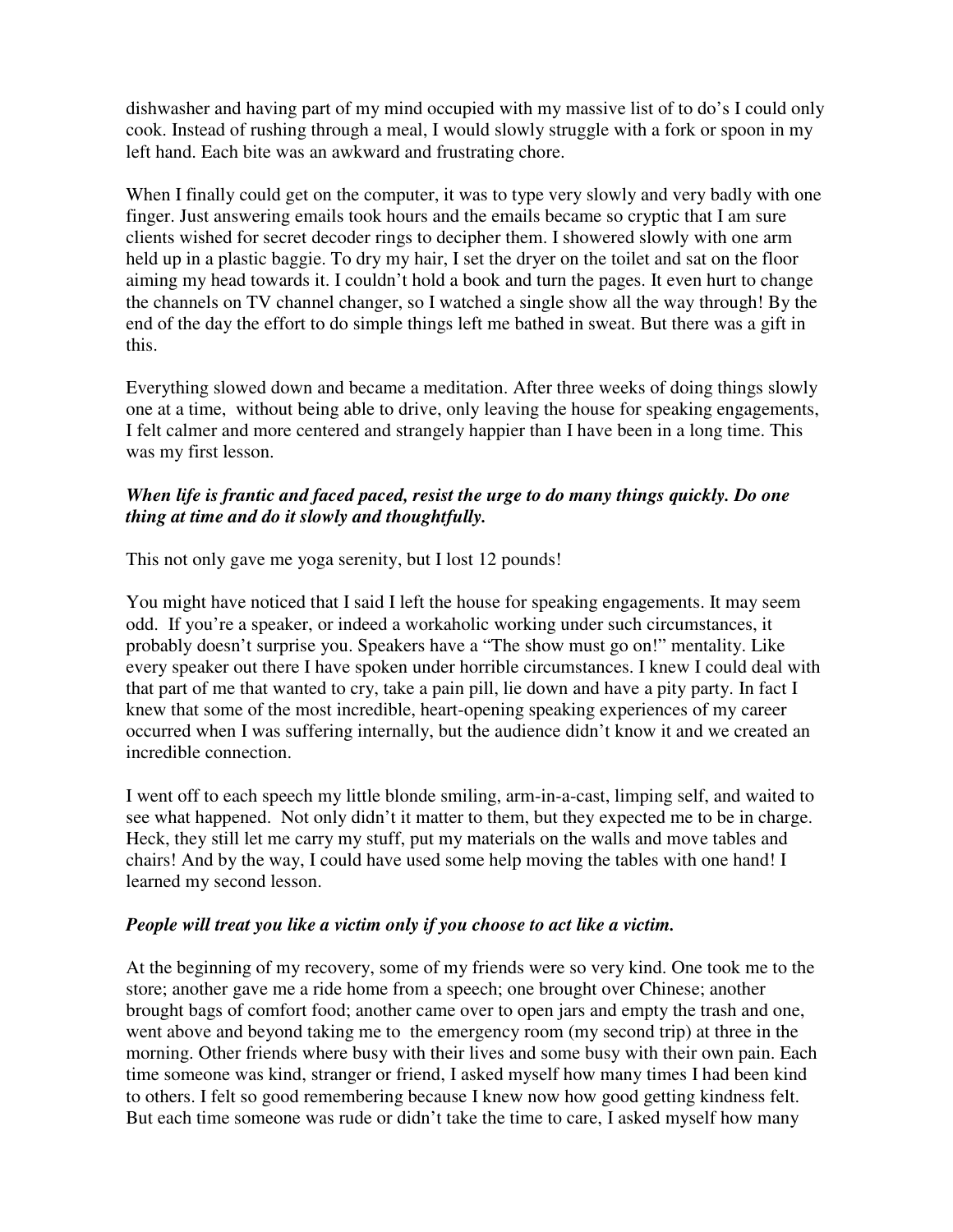dishwasher and having part of my mind occupied with my massive list of to do's I could only cook. Instead of rushing through a meal, I would slowly struggle with a fork or spoon in my left hand. Each bite was an awkward and frustrating chore.

When I finally could get on the computer, it was to type very slowly and very badly with one finger. Just answering emails took hours and the emails became so cryptic that I am sure clients wished for secret decoder rings to decipher them. I showered slowly with one arm held up in a plastic baggie. To dry my hair, I set the dryer on the toilet and sat on the floor aiming my head towards it. I couldn't hold a book and turn the pages. It even hurt to change the channels on TV channel changer, so I watched a single show all the way through! By the end of the day the effort to do simple things left me bathed in sweat. But there was a gift in this.

Everything slowed down and became a meditation. After three weeks of doing things slowly one at a time, without being able to drive, only leaving the house for speaking engagements, I felt calmer and more centered and strangely happier than I have been in a long time. This was my first lesson.

## *When life is frantic and faced paced, resist the urge to do many things quickly. Do one thing at time and do it slowly and thoughtfully.*

This not only gave me yoga serenity, but I lost 12 pounds!

You might have noticed that I said I left the house for speaking engagements. It may seem odd. If you're a speaker, or indeed a workaholic working under such circumstances, it probably doesn't surprise you. Speakers have a "The show must go on!" mentality. Like every speaker out there I have spoken under horrible circumstances. I knew I could deal with that part of me that wanted to cry, take a pain pill, lie down and have a pity party. In fact I knew that some of the most incredible, heart-opening speaking experiences of my career occurred when I was suffering internally, but the audience didn't know it and we created an incredible connection.

I went off to each speech my little blonde smiling, arm-in-a-cast, limping self, and waited to see what happened. Not only didn't it matter to them, but they expected me to be in charge. Heck, they still let me carry my stuff, put my materials on the walls and move tables and chairs! And by the way, I could have used some help moving the tables with one hand! I learned my second lesson.

#### *People will treat you like a victim only if you choose to act like a victim.*

At the beginning of my recovery, some of my friends were so very kind. One took me to the store; another gave me a ride home from a speech; one brought over Chinese; another brought bags of comfort food; another came over to open jars and empty the trash and one, went above and beyond taking me to the emergency room (my second trip) at three in the morning. Other friends where busy with their lives and some busy with their own pain. Each time someone was kind, stranger or friend, I asked myself how many times I had been kind to others. I felt so good remembering because I knew now how good getting kindness felt. But each time someone was rude or didn't take the time to care, I asked myself how many